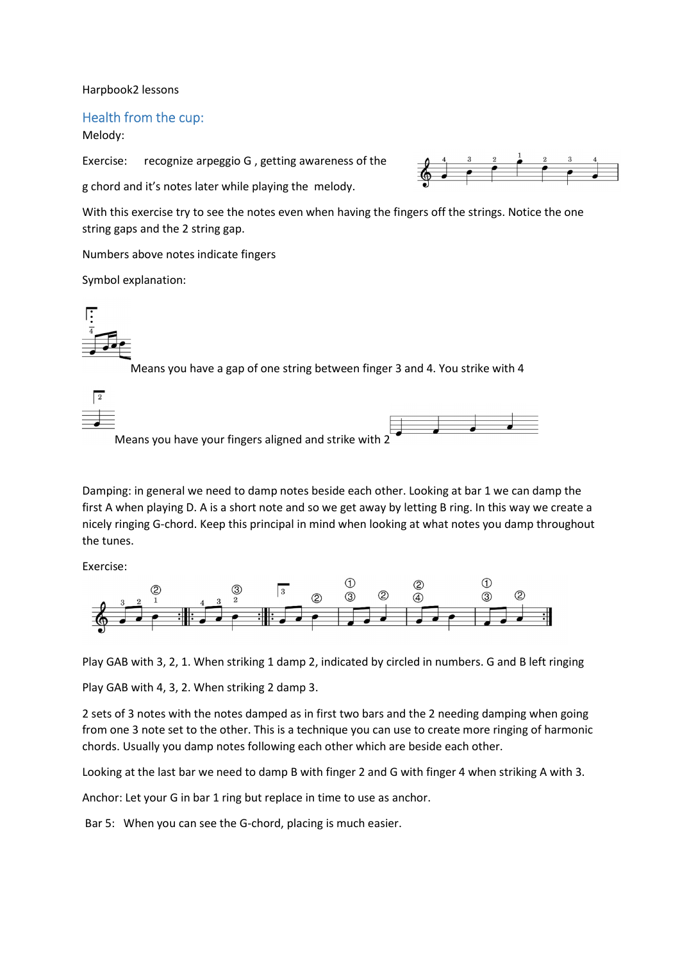Harpbook2 lessons

## Health from the cup:

## Melody:

Exercise: recognize arpeggio G , getting awareness of the

g chord and it's notes later while playing the melody.



With this exercise try to see the notes even when having the fingers off the strings. Notice the one string gaps and the 2 string gap.

Numbers above notes indicate fingers

Symbol explanation:



Means you have a gap of one string between finger 3 and 4. You strike with 4

Means you have your fingers aligned and strike with 2



Damping: in general we need to damp notes beside each other. Looking at bar 1 we can damp the first A when playing D. A is a short note and so we get away by letting B ring. In this way we create a nicely ringing G-chord. Keep this principal in mind when looking at what notes you damp throughout the tunes.

Exercise:



Play GAB with 3, 2, 1. When striking 1 damp 2, indicated by circled in numbers. G and B left ringing

Play GAB with 4, 3, 2. When striking 2 damp 3.

2 sets of 3 notes with the notes damped as in first two bars and the 2 needing damping when going from one 3 note set to the other. This is a technique you can use to create more ringing of harmonic chords. Usually you damp notes following each other which are beside each other.

Looking at the last bar we need to damp B with finger 2 and G with finger 4 when striking A with 3.

Anchor: Let your G in bar 1 ring but replace in time to use as anchor.

Bar 5: When you can see the G-chord, placing is much easier.